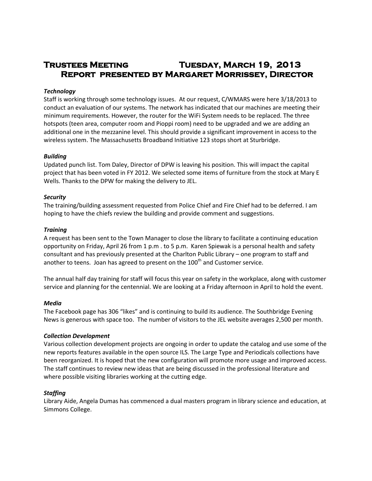# **Trustees Meeting Tuesday, March 19, 2013 Report presented by Margaret Morrissey, Director**

### *Technology*

Staff is working through some technology issues. At our request, C/WMARS were here 3/18/2013 to conduct an evaluation of our systems. The network has indicated that our machines are meeting their minimum requirements. However, the router for the WiFi System needs to be replaced. The three hotspots (teen area, computer room and Pioppi room) need to be upgraded and we are adding an additional one in the mezzanine level. This should provide a significant improvement in access to the wireless system. The Massachusetts Broadband Initiative 123 stops short at Sturbridge.

#### *Building*

Updated punch list. Tom Daley, Director of DPW is leaving his position. This will impact the capital project that has been voted in FY 2012. We selected some items of furniture from the stock at Mary E Wells. Thanks to the DPW for making the delivery to JEL.

#### *Security*

The training/building assessment requested from Police Chief and Fire Chief had to be deferred. I am hoping to have the chiefs review the building and provide comment and suggestions.

#### *Training*

A request has been sent to the Town Manager to close the library to facilitate a continuing education opportunity on Friday, April 26 from 1 p.m . to 5 p.m. Karen Spiewak is a personal health and safety consultant and has previously presented at the Charlton Public Library – one program to staff and another to teens. Joan has agreed to present on the 100<sup>th</sup> and Customer service.

The annual half day training for staff will focus this year on safety in the workplace, along with customer service and planning for the centennial. We are looking at a Friday afternoon in April to hold the event.

#### *Media*

The Facebook page has 306 "likes" and is continuing to build its audience. The Southbridge Evening News is generous with space too. The number of visitors to the JEL website averages 2,500 per month.

# *Collection Development*

Various collection development projects are ongoing in order to update the catalog and use some of the new reports features available in the open source ILS. The Large Type and Periodicals collections have been reorganized. It is hoped that the new configuration will promote more usage and improved access. The staff continues to review new ideas that are being discussed in the professional literature and where possible visiting libraries working at the cutting edge.

# *Staffing*

Library Aide, Angela Dumas has commenced a dual masters program in library science and education, at Simmons College.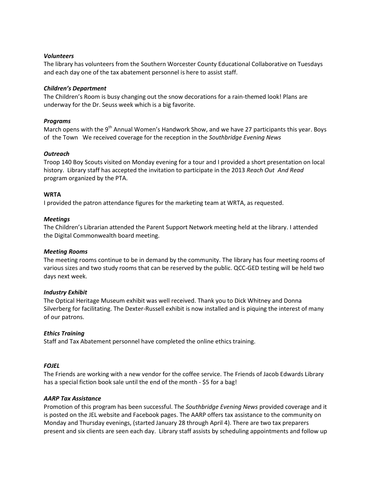### *Volunteers*

The library has volunteers from the Southern Worcester County Educational Collaborative on Tuesdays and each day one of the tax abatement personnel is here to assist staff.

#### *Children's Department*

The Children's Room is busy changing out the snow decorations for a rain-themed look! Plans are underway for the Dr. Seuss week which is a big favorite.

#### *Programs*

March opens with the 9<sup>th</sup> Annual Women's Handwork Show, and we have 27 participants this year. Boys of the Town We received coverage for the reception in the *Southbridge Evening News*

#### *Outreach*

Troop 140 Boy Scouts visited on Monday evening for a tour and I provided a short presentation on local history. Library staff has accepted the invitation to participate in the 2013 *Reach Out And Read* program organized by the PTA.

#### **WRTA**

I provided the patron attendance figures for the marketing team at WRTA, as requested.

#### *Meetings*

The Children's Librarian attended the Parent Support Network meeting held at the library. I attended the Digital Commonwealth board meeting.

#### *Meeting Rooms*

The meeting rooms continue to be in demand by the community. The library has four meeting rooms of various sizes and two study rooms that can be reserved by the public. QCC-GED testing will be held two days next week.

#### *Industry Exhibit*

The Optical Heritage Museum exhibit was well received. Thank you to Dick Whitney and Donna Silverberg for facilitating. The Dexter-Russell exhibit is now installed and is piquing the interest of many of our patrons.

# *Ethics Training*

Staff and Tax Abatement personnel have completed the online ethics training.

# *FOJEL*

The Friends are working with a new vendor for the coffee service. The Friends of Jacob Edwards Library has a special fiction book sale until the end of the month - \$5 for a bag!

#### *AARP Tax Assistance*

Promotion of this program has been successful. The *Southbridge Evening News* provided coverage and it is posted on the JEL website and Facebook pages. The AARP offers tax assistance to the community on Monday and Thursday evenings, (started January 28 through April 4). There are two tax preparers present and six clients are seen each day. Library staff assists by scheduling appointments and follow up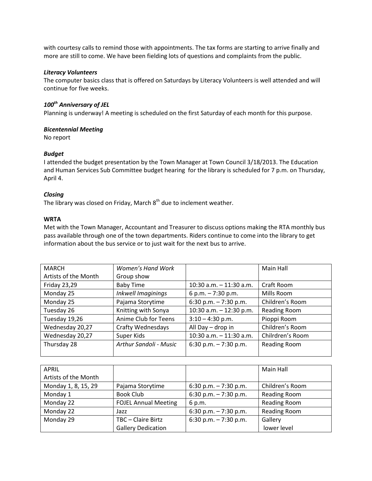with courtesy calls to remind those with appointments. The tax forms are starting to arrive finally and more are still to come. We have been fielding lots of questions and complaints from the public.

#### *Literacy Volunteers*

The computer basics class that is offered on Saturdays by Literacy Volunteers is well attended and will continue for five weeks.

# *100th Anniversary of JEL*

Planning is underway! A meeting is scheduled on the first Saturday of each month for this purpose.

# *Bicentennial Meeting*

No report

# *Budget*

I attended the budget presentation by the Town Manager at Town Council 3/18/2013. The Education and Human Services Sub Committee budget hearing for the library is scheduled for 7 p.m. on Thursday, April 4.

# *Closing*

The library was closed on Friday, March 8<sup>th</sup> due to inclement weather.

# **WRTA**

Met with the Town Manager, Accountant and Treasurer to discuss options making the RTA monthly bus pass available through one of the town departments. Riders continue to come into the library to get information about the bus service or to just wait for the next bus to arrive.

| <b>MARCH</b>         | Women's Hand Work             |                            | Main Hall           |
|----------------------|-------------------------------|----------------------------|---------------------|
| Artists of the Month | Group show                    |                            |                     |
| <b>Friday 23,29</b>  | <b>Baby Time</b>              | $10:30$ a.m. $-11:30$ a.m. | Craft Room          |
| Monday 25            | Inkwell Imaginings            | 6 p.m. $-7:30$ p.m.        | Mills Room          |
| Monday 25            | Pajama Storytime              | 6:30 p.m. $-7:30$ p.m.     | Children's Room     |
| Tuesday 26           | Knitting with Sonya           | 10:30 a.m. $-$ 12:30 p.m.  | <b>Reading Room</b> |
| Tuesday 19,26        | Anime Club for Teens          | $3:10 - 4:30$ p.m.         | Pioppi Room         |
| Wednesday 20,27      | <b>Crafty Wednesdays</b>      | All Day - drop in          | Children's Room     |
| Wednesday 20,27      | Super Kids                    | $10:30$ a.m. $-11:30$ a.m. | Chilrdren's Room    |
| Thursday 28          | <b>Arthur Sandoli - Music</b> | 6:30 p.m. $-7:30$ p.m.     | Reading Room        |
|                      |                               |                            |                     |

| <b>APRIL</b>         |                             |                        | Main Hall           |
|----------------------|-----------------------------|------------------------|---------------------|
| Artists of the Month |                             |                        |                     |
| Monday 1, 8, 15, 29  | Pajama Storytime            | 6:30 p.m. $-7:30$ p.m. | Children's Room     |
| Monday 1             | <b>Book Club</b>            | 6:30 p.m. $-7:30$ p.m. | <b>Reading Room</b> |
| Monday 22            | <b>FOJEL Annual Meeting</b> | 6 p.m.                 | <b>Reading Room</b> |
| Monday 22            | Jazz                        | 6:30 p.m. $-7:30$ p.m. | <b>Reading Room</b> |
| Monday 29            | TBC - Claire Birtz          | 6:30 p.m. $-7:30$ p.m. | Gallery             |
|                      | <b>Gallery Dedication</b>   |                        | lower level         |